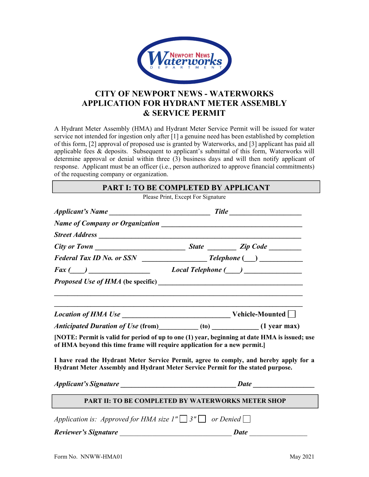

# **CITY OF NEWPORT NEWS - WATERWORKS APPLICATION FOR HYDRANT METER ASSEMBLY & SERVICE PERMIT**

A Hydrant Meter Assembly (HMA) and Hydrant Meter Service Permit will be issued for water service not intended for ingestion only after [1] a genuine need has been established by completion of this form, [2] approval of proposed use is granted by Waterworks, and [3] applicant has paid all applicable fees & deposits. Subsequent to applicant's submittal of this form, Waterworks will determine approval or denial within three (3) business days and will then notify applicant of response. Applicant must be an officer (i.e., person authorized to approve financial commitments) of the requesting company or organization.

Please Print, Except For Signature

| $Fax \ (\_\_\_\_\_$                                                                                                                                                        |  |  |  |
|----------------------------------------------------------------------------------------------------------------------------------------------------------------------------|--|--|--|
|                                                                                                                                                                            |  |  |  |
|                                                                                                                                                                            |  |  |  |
|                                                                                                                                                                            |  |  |  |
| Anticipated Duration of Use (from) __________(to) ____________(1 year max)                                                                                                 |  |  |  |
| [NOTE: Permit is valid for period of up to one (1) year, beginning at date HMA is issued; use<br>of HMA beyond this time frame will require application for a new permit.] |  |  |  |
| I have read the Hydrant Meter Service Permit, agree to comply, and hereby apply for a<br>Hydrant Meter Assembly and Hydrant Meter Service Permit for the stated purpose.   |  |  |  |
|                                                                                                                                                                            |  |  |  |
| PART II: TO BE COMPLETED BY WATERWORKS METER SHOP                                                                                                                          |  |  |  |
| Application is: Approved for HMA size $1'' \square 3'' \square$ or Denied $\square$                                                                                        |  |  |  |
|                                                                                                                                                                            |  |  |  |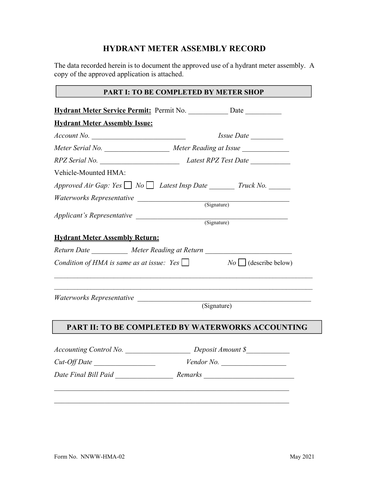# **HYDRANT METER ASSEMBLY RECORD**

The data recorded herein is to document the approved use of a hydrant meter assembly. A copy of the approved application is attached.

## **PART I: TO BE COMPLETED BY METER SHOP**

|                                       | Hydrant Meter Service Permit: Permit No. _____________ Date ____________                                                                                        |  |
|---------------------------------------|-----------------------------------------------------------------------------------------------------------------------------------------------------------------|--|
| <b>Hydrant Meter Assembly Issue:</b>  |                                                                                                                                                                 |  |
| Account No.                           | Issue Date                                                                                                                                                      |  |
|                                       | Meter Serial No. Meter Reading at Issue                                                                                                                         |  |
|                                       |                                                                                                                                                                 |  |
| Vehicle-Mounted HMA:                  |                                                                                                                                                                 |  |
|                                       | Approved Air Gap: Yes $\Box$ No $\Box$ Latest Insp Date Truck No.                                                                                               |  |
|                                       |                                                                                                                                                                 |  |
|                                       |                                                                                                                                                                 |  |
|                                       | Applicant's Representative (Signature) (Signature)                                                                                                              |  |
| <b>Hydrant Meter Assembly Return:</b> |                                                                                                                                                                 |  |
|                                       |                                                                                                                                                                 |  |
|                                       |                                                                                                                                                                 |  |
|                                       | Return Date ___________ Meter Reading at Return ________________________________<br>Condition of HMA is same as at issue: Yes $\Box$ No $\Box$ (describe below) |  |
|                                       |                                                                                                                                                                 |  |
|                                       | (Signature)                                                                                                                                                     |  |
|                                       | PART II: TO BE COMPLETED BY WATERWORKS ACCOUNTING                                                                                                               |  |
|                                       | Accounting Control No. Deposit Amount \$                                                                                                                        |  |
| $Cut$ -Off Date                       | $V$ endor No. $\_\_$                                                                                                                                            |  |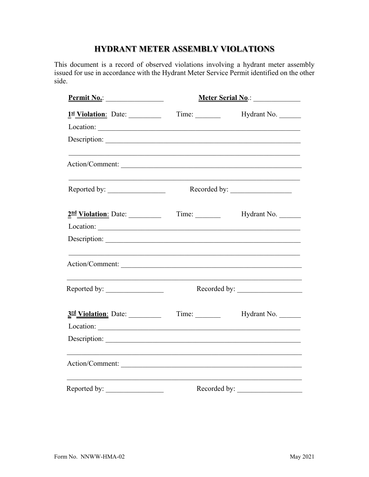# HYDRANT METER ASSEMBLY VIOLATIONS

This document is a record of observed violations involving a hydrant meter assembly issued for use in accordance with the Hydrant Meter Service Permit identified on the other side.

| <u>Permit No.:</u>               | Meter Serial No.: 1994 |              |  |
|----------------------------------|------------------------|--------------|--|
| 1st Violation: Date:             |                        | Hydrant No.  |  |
|                                  |                        |              |  |
|                                  |                        |              |  |
| Action/Comment:                  |                        |              |  |
| Reported by:                     |                        | Recorded by: |  |
| 2nd Violation: Date:             |                        | Hydrant No.  |  |
|                                  |                        |              |  |
|                                  |                        |              |  |
|                                  |                        |              |  |
|                                  |                        |              |  |
| 3 <sup>rd</sup> Violation: Date: | Time:                  | Hydrant No.  |  |
|                                  |                        |              |  |
|                                  |                        |              |  |
| Action/Comment:                  |                        |              |  |
| Reported by:                     |                        | Recorded by: |  |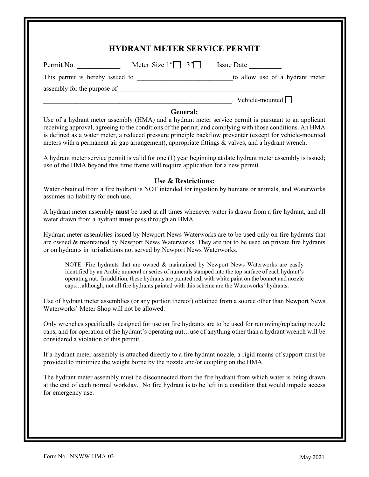| Permit No.                             | Meter Size $1''$ $3''$ Issue Date                                                                                                                                                                                                                                                                                                                                                                    |                                                                                                                                                                                                                                                                                                                                                                                                                                               |
|----------------------------------------|------------------------------------------------------------------------------------------------------------------------------------------------------------------------------------------------------------------------------------------------------------------------------------------------------------------------------------------------------------------------------------------------------|-----------------------------------------------------------------------------------------------------------------------------------------------------------------------------------------------------------------------------------------------------------------------------------------------------------------------------------------------------------------------------------------------------------------------------------------------|
|                                        |                                                                                                                                                                                                                                                                                                                                                                                                      |                                                                                                                                                                                                                                                                                                                                                                                                                                               |
|                                        |                                                                                                                                                                                                                                                                                                                                                                                                      |                                                                                                                                                                                                                                                                                                                                                                                                                                               |
|                                        |                                                                                                                                                                                                                                                                                                                                                                                                      | $.$ Vehicle-mounted $\Box$                                                                                                                                                                                                                                                                                                                                                                                                                    |
|                                        | <b>General:</b><br>meters with a permanent air gap arrangement), appropriate fittings & valves, and a hydrant wrench.<br>use of the HMA beyond this time frame will require application for a new permit.                                                                                                                                                                                            | Use of a hydrant meter assembly (HMA) and a hydrant meter service permit is pursuant to an applicant<br>receiving approval, agreeing to the conditions of the permit, and complying with those conditions. An HMA<br>is defined as a water meter, a reduced pressure principle backflow preventer (except for vehicle-mounted<br>A hydrant meter service permit is valid for one (1) year beginning at date hydrant meter assembly is issued; |
| assumes no liability for such use.     | Use & Restrictions:                                                                                                                                                                                                                                                                                                                                                                                  | Water obtained from a fire hydrant is NOT intended for ingestion by humans or animals, and Waterworks                                                                                                                                                                                                                                                                                                                                         |
|                                        | water drawn from a hydrant must pass through an HMA.                                                                                                                                                                                                                                                                                                                                                 | A hydrant meter assembly must be used at all times whenever water is drawn from a fire hydrant, and all                                                                                                                                                                                                                                                                                                                                       |
|                                        | or on hydrants in jurisdictions not served by Newport News Waterworks.                                                                                                                                                                                                                                                                                                                               | Hydrant meter assemblies issued by Newport News Waterworks are to be used only on fire hydrants that<br>are owned & maintained by Newport News Waterworks. They are not to be used on private fire hydrants                                                                                                                                                                                                                                   |
|                                        | NOTE: Fire hydrants that are owned & maintained by Newport News Waterworks are easily<br>identified by an Arabic numeral or series of numerals stamped into the top surface of each hydrant's<br>operating nut. In addition, these hydrants are painted red, with white paint on the bonnet and nozzle<br>capsalthough, not all fire hydrants painted with this scheme are the Waterworks' hydrants. |                                                                                                                                                                                                                                                                                                                                                                                                                                               |
|                                        | Waterworks' Meter Shop will not be allowed.                                                                                                                                                                                                                                                                                                                                                          | Use of hydrant meter assemblies (or any portion thereof) obtained from a source other than Newport News                                                                                                                                                                                                                                                                                                                                       |
| considered a violation of this permit. |                                                                                                                                                                                                                                                                                                                                                                                                      | Only wrenches specifically designed for use on fire hydrants are to be used for removing/replacing nozzle<br>caps, and for operation of the hydrant's operating nutuse of anything other than a hydrant wrench will be                                                                                                                                                                                                                        |
|                                        | provided to minimize the weight borne by the nozzle and/or coupling on the HMA.                                                                                                                                                                                                                                                                                                                      | If a hydrant meter assembly is attached directly to a fire hydrant nozzle, a rigid means of support must be                                                                                                                                                                                                                                                                                                                                   |
| for emergency use.                     |                                                                                                                                                                                                                                                                                                                                                                                                      | The hydrant meter assembly must be disconnected from the fire hydrant from which water is being drawn<br>at the end of each normal workday. No fire hydrant is to be left in a condition that would impede access                                                                                                                                                                                                                             |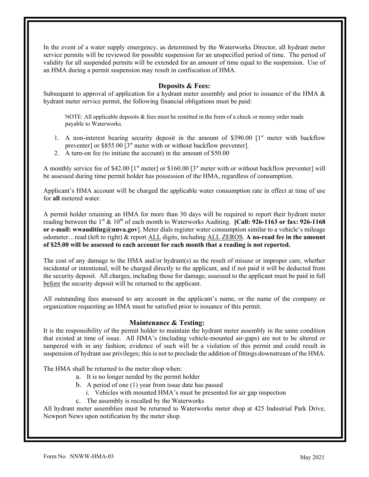In the event of a water supply emergency, as determined by the Waterworks Director, all hydrant meter service permits will be reviewed for possible suspension for an unspecified period of time. The period of validity for all suspended permits will be extended for an amount of time equal to the suspension. Use of an HMA during a permit suspension may result in confiscation of HMA.

#### **Deposits & Fees:**

Subsequent to approval of application for a hydrant meter assembly and prior to issuance of the HMA & hydrant meter service permit, the following financial obligations must be paid:

NOTE: All applicable deposits  $\&$  fees must be remitted in the form of a check or money order made payable to Waterworks.

- 1. A non-interest bearing security deposit in the amount of \$390.00 [1″ meter with backflow preventer] or \$855.00 [3″ meter with or without backflow preventer].
- 2. A turn-on fee (to initiate the account) in the amount of \$50.00

A monthly service fee of \$42.00 [1″ meter] or \$160.00 [3″ meter with or without backflow preventer] will be assessed during time permit holder has possession of the HMA, regardless of consumption.

Applicant's HMA account will be charged the applicable water consumption rate in effect at time of use for **all** metered water.

A permit holder retaining an HMA for more than 30 days will be required to report their hydrant meter reading between the 1<sup>st</sup> & 10<sup>th</sup> of each month to Waterworks Auditing. **[Call: 926-1163 or fax: 926-1168 or e-mail: wwauditing@nnva.gov**]. Meter dials register water consumption similar to a vehicle's mileage odometer…read (left to right) & report ALL digits, including ALL ZEROS. **A no-read fee in the amount of \$25.00 will be assessed to each account for each month that a reading is not reported.**

The cost of any damage to the HMA and/or hydrant(s) as the result of misuse or improper care, whether incidental or intentional, will be charged directly to the applicant, and if not paid it will be deducted from the security deposit. All charges, including those for damage, assessed to the applicant must be paid in full before the security deposit will be returned to the applicant.

All outstanding fees assessed to any account in the applicant's name, or the name of the company or organization requesting an HMA must be satisfied prior to issuance of this permit.

## **Maintenance & Testing:**

It is the responsibility of the permit holder to maintain the hydrant meter assembly in the same condition that existed at time of issue. All HMA's (including vehicle-mounted air-gaps) are not to be altered or tampered with in any fashion; evidence of such will be a violation of this permit and could result in suspension of hydrant use privileges; this is not to preclude the addition of fittings downstream of the HMA.

The HMA shall be returned to the meter shop when:

- a. It is no longer needed by the permit holder
- b. A period of one (1) year from issue date has passed
	- i. Vehicles with mounted HMA's must be presented for air gap inspection
- c. The assembly is recalled by the Waterworks

All hydrant meter assemblies must be returned to Waterworks meter shop at 425 Industrial Park Drive, Newport News upon notification by the meter shop.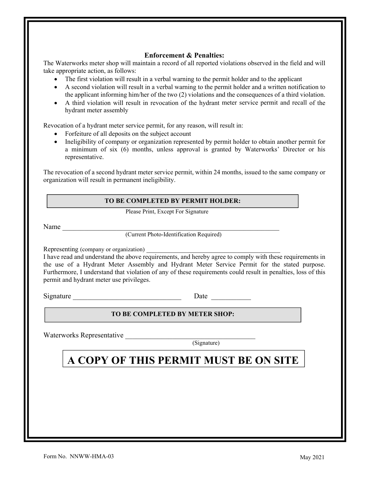#### **Enforcement & Penalties:**

The Waterworks meter shop will maintain a record of all reported violations observed in the field and will take appropriate action, as follows:

- The first violation will result in a verbal warning to the permit holder and to the applicant
- A second violation will result in a verbal warning to the permit holder and a written notification to the applicant informing him/her of the two (2) violations and the consequences of a third violation.
- A third violation will result in revocation of the hydrant meter service permit and recall of the hydrant meter assembly

Revocation of a hydrant meter service permit, for any reason, will result in:

- Forfeiture of all deposits on the subject account
- Ineligibility of company or organization represented by permit holder to obtain another permit for a minimum of six (6) months, unless approval is granted by Waterworks' Director or his representative.

The revocation of a second hydrant meter service permit, within 24 months, issued to the same company or organization will result in permanent ineligibility.

#### **TO BE COMPLETED BY PERMIT HOLDER:**

Please Print, Except For Signature

Name \_\_\_\_\_\_\_\_\_\_\_\_\_\_\_\_\_\_\_\_\_\_\_\_\_\_\_\_\_\_\_\_\_\_\_\_\_\_\_\_\_\_\_\_\_\_\_\_\_\_\_\_\_\_\_\_\_\_\_\_

(Current Photo-Identification Required)

Representing (company or organization)

I have read and understand the above requirements, and hereby agree to comply with these requirements in the use of a Hydrant Meter Assembly and Hydrant Meter Service Permit for the stated purpose. Furthermore, I understand that violation of any of these requirements could result in penalties, loss of this permit and hydrant meter use privileges.

Signature Date Date  $\overline{\phantom{a}}$ 

#### **TO BE COMPLETED BY METER SHOP:**

Waterworks Representative

(Signature)

# **A COPY OF THIS PERMIT MUST BE ON SITE**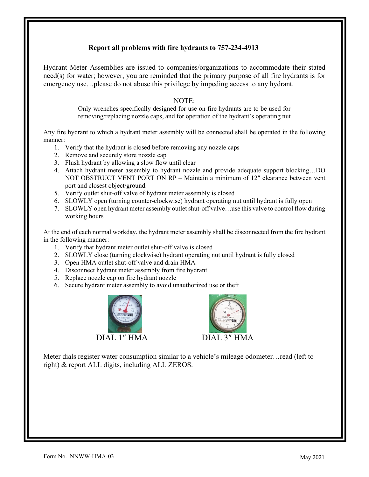## **Report all problems with fire hydrants to 757-234-4913**

Hydrant Meter Assemblies are issued to companies/organizations to accommodate their stated need(s) for water; however, you are reminded that the primary purpose of all fire hydrants is for emergency use…please do not abuse this privilege by impeding access to any hydrant.

## NOTE:

Only wrenches specifically designed for use on fire hydrants are to be used for removing/replacing nozzle caps, and for operation of the hydrant's operating nut

Any fire hydrant to which a hydrant meter assembly will be connected shall be operated in the following manner:

- 1. Verify that the hydrant is closed before removing any nozzle caps
- 2. Remove and securely store nozzle cap
- 3. Flush hydrant by allowing a slow flow until clear
- 4. Attach hydrant meter assembly to hydrant nozzle and provide adequate support blocking…DO NOT OBSTRUCT VENT PORT ON RP – Maintain a minimum of 12″ clearance between vent port and closest object/ground.
- 5. Verify outlet shut-off valve of hydrant meter assembly is closed
- 6. SLOWLY open (turning counter-clockwise) hydrant operating nut until hydrant is fully open
- 7. SLOWLY open hydrant meter assembly outlet shut-off valve…use this valve to control flow during working hours

At the end of each normal workday, the hydrant meter assembly shall be disconnected from the fire hydrant in the following manner:

- 1. Verify that hydrant meter outlet shut-off valve is closed
- 2. SLOWLY close (turning clockwise) hydrant operating nut until hydrant is fully closed
- 3. Open HMA outlet shut-off valve and drain HMA
- 4. Disconnect hydrant meter assembly from fire hydrant
- 5. Replace nozzle cap on fire hydrant nozzle
- 6. Secure hydrant meter assembly to avoid unauthorized use or theft





Meter dials register water consumption similar to a vehicle's mileage odometer…read (left to right) & report ALL digits, including ALL ZEROS.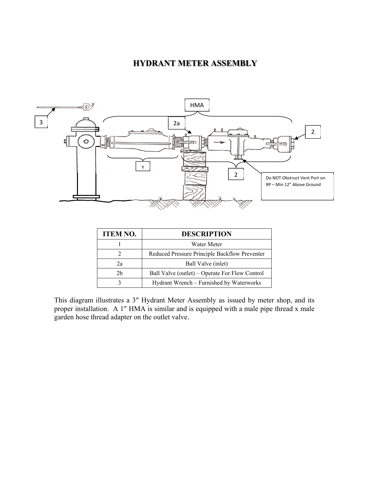## **HYDRANT METER ASSEMBLY**



| <b>ITEM NO.</b> | <b>DESCRIPTION</b>                             |
|-----------------|------------------------------------------------|
|                 | Water Meter                                    |
|                 | Reduced Pressure Principle Backflow Preventer  |
| 2a              | Ball Valve (inlet)                             |
| 2h              | Ball Valve (outlet) – Operate For Flow Control |
|                 | Hydrant Wrench - Furnished by Waterworks       |

This diagram illustrates a 3″ Hydrant Meter Assembly as issued by meter shop, and its proper installation. A 1″ HMA is similar and is equipped with a male pipe thread x male garden hose thread adapter on the outlet valve.